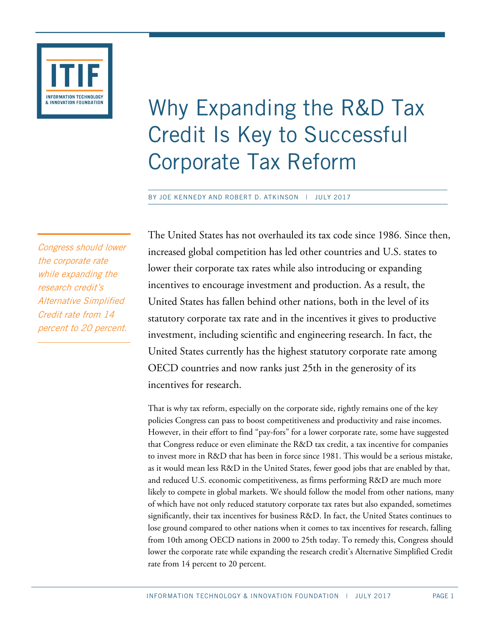

# Why Expanding the R&D Tax Credit Is Key to Successful Corporate Tax Reform

BY JOE KENNEDY AND ROBERT D. ATKINSON | JULY 2017

Congress should lower the corporate rate while expanding the research credit's Alternative Simplified Credit rate from 14 percent to 20 percent. The United States has not overhauled its tax code since 1986. Since then, increased global competition has led other countries and U.S. states to lower their corporate tax rates while also introducing or expanding incentives to encourage investment and production. As a result, the United States has fallen behind other nations, both in the level of its statutory corporate tax rate and in the incentives it gives to productive investment, including scientific and engineering research. In fact, the United States currently has the highest statutory corporate rate among OECD countries and now ranks just 25th in the generosity of its incentives for research.

That is why tax reform, especially on the corporate side, rightly remains one of the key policies Congress can pass to boost competitiveness and productivity and raise incomes. However, in their effort to find "pay-fors" for a lower corporate rate, some have suggested that Congress reduce or even eliminate the R&D tax credit, a tax incentive for companies to invest more in R&D that has been in force since 1981. This would be a serious mistake, as it would mean less R&D in the United States, fewer good jobs that are enabled by that, and reduced U.S. economic competitiveness, as firms performing R&D are much more likely to compete in global markets. We should follow the model from other nations, many of which have not only reduced statutory corporate tax rates but also expanded, sometimes significantly, their tax incentives for business R&D. In fact, the United States continues to lose ground compared to other nations when it comes to tax incentives for research, falling from 10th among OECD nations in 2000 to 25th today. To remedy this, Congress should lower the corporate rate while expanding the research credit's Alternative Simplified Credit rate from 14 percent to 20 percent.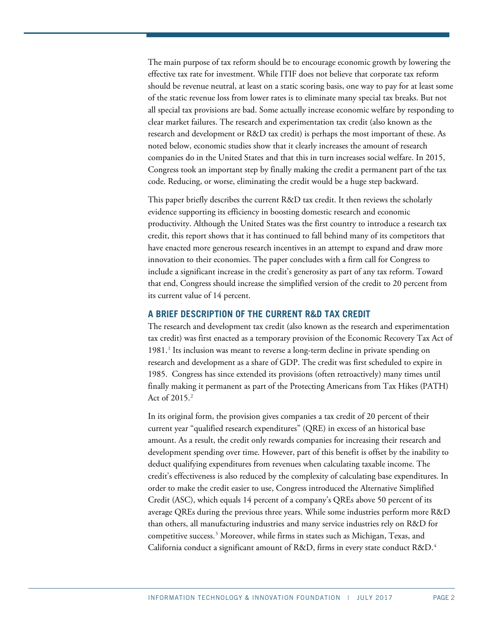The main purpose of tax reform should be to encourage economic growth by lowering the effective tax rate for investment. While ITIF does not believe that corporate tax reform should be revenue neutral, at least on a static scoring basis, one way to pay for at least some of the static revenue loss from lower rates is to eliminate many special tax breaks. But not all special tax provisions are bad. Some actually increase economic welfare by responding to clear market failures. The research and experimentation tax credit (also known as the research and development or R&D tax credit) is perhaps the most important of these. As noted below, economic studies show that it clearly increases the amount of research companies do in the United States and that this in turn increases social welfare. In 2015, Congress took an important step by finally making the credit a permanent part of the tax code. Reducing, or worse, eliminating the credit would be a huge step backward.

This paper briefly describes the current R&D tax credit. It then reviews the scholarly evidence supporting its efficiency in boosting domestic research and economic productivity. Although the United States was the first country to introduce a research tax credit, this report shows that it has continued to fall behind many of its competitors that have enacted more generous research incentives in an attempt to expand and draw more innovation to their economies. The paper concludes with a firm call for Congress to include a significant increase in the credit's generosity as part of any tax reform. Toward that end, Congress should increase the simplified version of the credit to 20 percent from its current value of 14 percent.

#### **A BRIEF DESCRIPTION OF THE CURRENT R&D TAX CREDIT**

The research and development tax credit (also known as the research and experimentation tax credit) was first enacted as a temporary provision of the Economic Recovery Tax Act of  $1981<sup>1</sup>$  $1981<sup>1</sup>$  Its inclusion was meant to reverse a long-term decline in private spending on research and development as a share of GDP. The credit was first scheduled to expire in 1985. Congress has since extended its provisions (often retroactively) many times until finally making it permanent as part of the Protecting Americans from Tax Hikes (PATH) Act of 2015.[2](#page-7-1)

In its original form, the provision gives companies a tax credit of 20 percent of their current year "qualified research expenditures" (QRE) in excess of an historical base amount. As a result, the credit only rewards companies for increasing their research and development spending over time. However, part of this benefit is offset by the inability to deduct qualifying expenditures from revenues when calculating taxable income. The credit's effectiveness is also reduced by the complexity of calculating base expenditures. In order to make the credit easier to use, Congress introduced the Alternative Simplified Credit (ASC), which equals 14 percent of a company's QREs above 50 percent of its average QREs during the previous three years. While some industries perform more R&D than others, all manufacturing industries and many service industries rely on R&D for competitive success.[3](#page-7-2) Moreover, while firms in states such as Michigan, Texas, and California conduct a significant amount of R&D, firms in every state conduct R&D.[4](#page-7-3)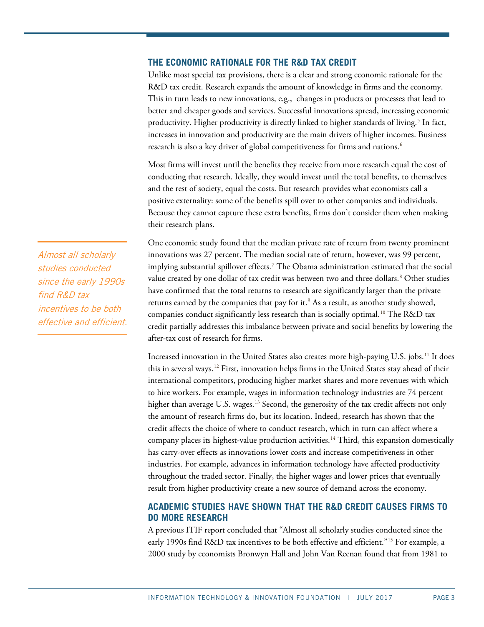## **THE ECONOMIC RATIONALE FOR THE R&D TAX CREDIT**

Unlike most special tax provisions, there is a clear and strong economic rationale for the R&D tax credit. Research expands the amount of knowledge in firms and the economy. This in turn leads to new innovations, e.g., changes in products or processes that lead to better and cheaper goods and services. Successful innovations spread, increasing economic productivity. Higher productivity is directly linked to higher standards of living.<sup>[5](#page-7-4)</sup> In fact, increases in innovation and productivity are the main drivers of higher incomes. Business research is also a key driver of global competitiveness for firms and nations.<sup>[6](#page-7-5)</sup>

Most firms will invest until the benefits they receive from more research equal the cost of conducting that research. Ideally, they would invest until the total benefits, to themselves and the rest of society, equal the costs. But research provides what economists call a positive externality: some of the benefits spill over to other companies and individuals. Because they cannot capture these extra benefits, firms don't consider them when making their research plans.

One economic study found that the median private rate of return from twenty prominent innovations was 27 percent. The median social rate of return, however, was 99 percent, implying substantial spillover effects.<sup>[7](#page-7-6)</sup> The Obama administration estimated that the social value created by one dollar of tax credit was between two and three dollars. [8](#page-7-7) Other studies have confirmed that the total returns to research are significantly larger than the private returns earned by the companies that pay for it.<sup>9</sup> As a result, as another study showed, companies conduct significantly less research than is socially optimal.[10](#page-7-9) The R&D tax credit partially addresses this imbalance between private and social benefits by lowering the after-tax cost of research for firms.

Increased innovation in the United States also creates more high-paying U.S. jobs.[11](#page-7-10) It does this in several ways.<sup>[12](#page-7-11)</sup> First, innovation helps firms in the United States stay ahead of their international competitors, producing higher market shares and more revenues with which to hire workers. For example, wages in information technology industries are 74 percent higher than average U.S. wages.<sup>[13](#page-7-12)</sup> Second, the generosity of the tax credit affects not only the amount of research firms do, but its location. Indeed, research has shown that the credit affects the choice of where to conduct research, which in turn can affect where a company places its highest-value production activities.<sup>[14](#page-7-13)</sup> Third, this expansion domestically has carry-over effects as innovations lower costs and increase competitiveness in other industries. For example, advances in information technology have affected productivity throughout the traded sector. Finally, the higher wages and lower prices that eventually result from higher productivity create a new source of demand across the economy.

# **ACADEMIC STUDIES HAVE SHOWN THAT THE R&D CREDIT CAUSES FIRMS TO DO MORE RESEARCH**

A previous ITIF report concluded that "Almost all scholarly studies conducted since the early 1990s find R&D tax incentives to be both effective and efficient."<sup>[15](#page-7-14)</sup> For example, a 2000 study by economists Bronwyn Hall and John Van Reenan found that from 1981 to

Almost all scholarly studies conducted since the early 1990s find R&D tax incentives to be both effective and efficient.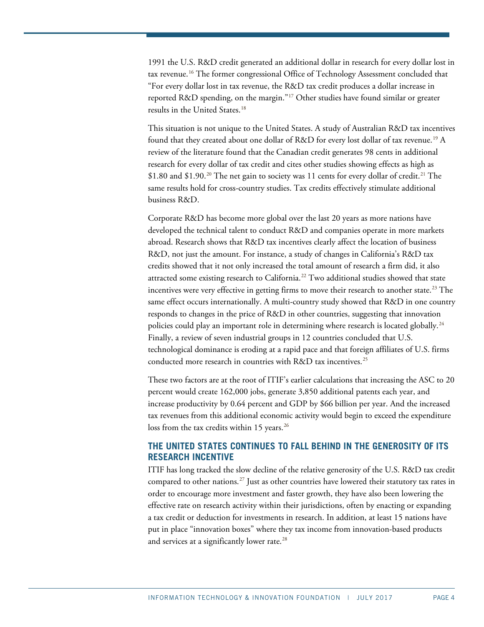1991 the U.S. R&D credit generated an additional dollar in research for every dollar lost in tax revenue.[16](#page-7-15) The former congressional Office of Technology Assessment concluded that "For every dollar lost in tax revenue, the R&D tax credit produces a dollar increase in reported R&D spending, on the margin."[17](#page-8-0) Other studies have found similar or greater results in the United States. [18](#page-8-1)

This situation is not unique to the United States. A study of Australian R&D tax incentives found that they created about one dollar of R&D for every lost dollar of tax revenue.[19](#page-8-2) A review of the literature found that the Canadian credit generates 98 cents in additional research for every dollar of tax credit and cites other studies showing effects as high as \$1.80 and \$1.90.<sup>[20](#page-8-3)</sup> The net gain to society was 11 cents for every dollar of credit.<sup>[21](#page-8-4)</sup> The same results hold for cross-country studies. Tax credits effectively stimulate additional business R&D.

Corporate R&D has become more global over the last 20 years as more nations have developed the technical talent to conduct R&D and companies operate in more markets abroad. Research shows that R&D tax incentives clearly affect the location of business R&D, not just the amount. For instance, a study of changes in California's R&D tax credits showed that it not only increased the total amount of research a firm did, it also attracted some existing research to California.[22](#page-8-5) Two additional studies showed that state incentives were very effective in getting firms to move their research to another state.<sup>[23](#page-8-6)</sup> The same effect occurs internationally. A multi-country study showed that R&D in one country responds to changes in the price of R&D in other countries, suggesting that innovation policies could play an important role in determining where research is located globally. [24](#page-8-7) Finally, a review of seven industrial groups in 12 countries concluded that U.S. technological dominance is eroding at a rapid pace and that foreign affiliates of U.S. firms conducted more research in countries with R&D tax incentives.<sup>[25](#page-8-8)</sup>

These two factors are at the root of ITIF's earlier calculations that increasing the ASC to 20 percent would create 162,000 jobs, generate 3,850 additional patents each year, and increase productivity by 0.64 percent and GDP by \$66 billion per year. And the increased tax revenues from this additional economic activity would begin to exceed the expenditure loss from the tax credits within 15 years.<sup>[26](#page-8-9)</sup>

# **THE UNITED STATES CONTINUES TO FALL BEHIND IN THE GENEROSITY OF ITS RESEARCH INCENTIVE**

ITIF has long tracked the slow decline of the relative generosity of the U.S. R&D tax credit compared to other nations.<sup>[27](#page-8-10)</sup> Just as other countries have lowered their statutory tax rates in order to encourage more investment and faster growth, they have also been lowering the effective rate on research activity within their jurisdictions, often by enacting or expanding a tax credit or deduction for investments in research. In addition, at least 15 nations have put in place "innovation boxes" where they tax income from innovation-based products and services at a significantly lower rate.<sup>[28](#page-8-11)</sup>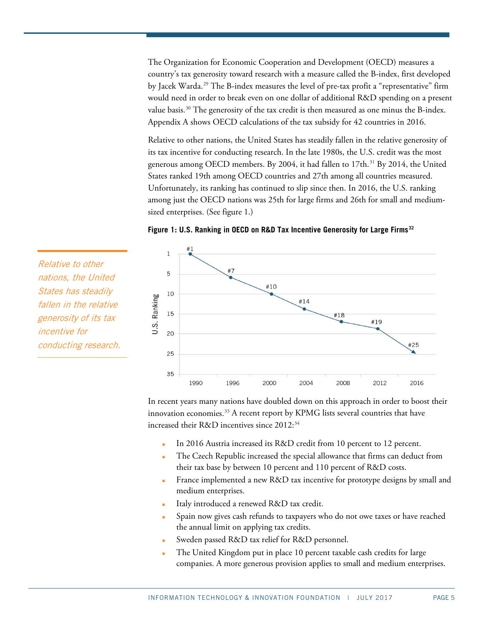The Organization for Economic Cooperation and Development (OECD) measures a country's tax generosity toward research with a measure called the B-index, first developed by Jacek Warda.[29](#page-8-12) The B-index measures the level of pre-tax profit a "representative" firm would need in order to break even on one dollar of additional R&D spending on a present value basis.<sup>[30](#page-8-13)</sup> The generosity of the tax credit is then measured as one minus the B-index. Appendix A shows OECD calculations of the tax subsidy for 42 countries in 2016.

Relative to other nations, the United States has steadily fallen in the relative generosity of its tax incentive for conducting research. In the late 1980s, the U.S. credit was the most generous among OECD members. By 2004, it had fallen to 17th. [31](#page-9-0) By 2014, the United States ranked 19th among OECD countries and 27th among all countries measured. Unfortunately, its ranking has continued to slip since then. In 2016, the U.S. ranking among just the OECD nations was 25th for large firms and 26th for small and mediumsized enterprises. (See figure 1.)



 $\mathbf{1}$ #7 5 #10 10 U.S. Ranking #14 15 #18 #19 20 #25 25 35 1990 1996 2000 2004 2008 2012 2016

In recent years many nations have doubled down on this approach in order to boost their innovation economies.<sup>[33](#page-9-2)</sup> A recent report by KPMG lists several countries that have increased their R&D incentives since 2012:<sup>[34](#page-9-3)</sup>

- In 2016 Austria increased its R&D credit from 10 percent to 12 percent.
- The Czech Republic increased the special allowance that firms can deduct from their tax base by between 10 percent and 110 percent of R&D costs.
- France implemented a new R&D tax incentive for prototype designs by small and medium enterprises.
- Italy introduced a renewed R&D tax credit.
- Spain now gives cash refunds to taxpayers who do not owe taxes or have reached the annual limit on applying tax credits.
- Sweden passed R&D tax relief for R&D personnel.
- The United Kingdom put in place 10 percent taxable cash credits for large companies. A more generous provision applies to small and medium enterprises.

Relative to other nations, the United States has steadily fallen in the relative generosity of its tax incentive for conducting research.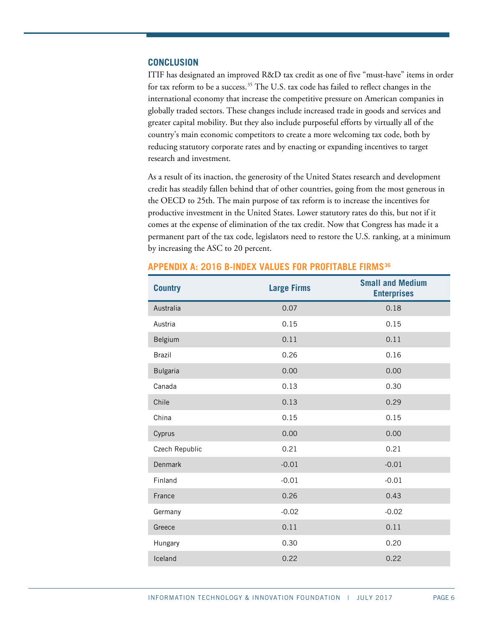## **CONCLUSION**

ITIF has designated an improved R&D tax credit as one of five "must-have" items in order for tax reform to be a success.<sup>[35](#page-9-4)</sup> The U.S. tax code has failed to reflect changes in the international economy that increase the competitive pressure on American companies in globally traded sectors. These changes include increased trade in goods and services and greater capital mobility. But they also include purposeful efforts by virtually all of the country's main economic competitors to create a more welcoming tax code, both by reducing statutory corporate rates and by enacting or expanding incentives to target research and investment.

As a result of its inaction, the generosity of the United States research and development credit has steadily fallen behind that of other countries, going from the most generous in the OECD to 25th. The main purpose of tax reform is to increase the incentives for productive investment in the United States. Lower statutory rates do this, but not if it comes at the expense of elimination of the tax credit. Now that Congress has made it a permanent part of the tax code, legislators need to restore the U.S. ranking, at a minimum by increasing the ASC to 20 percent.

| <b>Country</b>  | <b>Large Firms</b> | <b>Small and Medium</b><br><b>Enterprises</b> |
|-----------------|--------------------|-----------------------------------------------|
| Australia       | 0.07               | 0.18                                          |
| Austria         | 0.15               | 0.15                                          |
| Belgium         | 0.11               | 0.11                                          |
| <b>Brazil</b>   | 0.26               | 0.16                                          |
| <b>Bulgaria</b> | 0.00               | 0.00                                          |
| Canada          | 0.13               | 0.30                                          |
| Chile           | 0.13               | 0.29                                          |
| China           | 0.15               | 0.15                                          |
| Cyprus          | 0.00               | 0.00                                          |
| Czech Republic  | 0.21               | 0.21                                          |
| <b>Denmark</b>  | $-0.01$            | $-0.01$                                       |
| Finland         | $-0.01$            | $-0.01$                                       |
| France          | 0.26               | 0.43                                          |
| Germany         | $-0.02$            | $-0.02$                                       |
| Greece          | 0.11               | 0.11                                          |
| Hungary         | 0.30               | 0.20                                          |
| Iceland         | 0.22               | 0.22                                          |
|                 |                    |                                               |

#### **APPENDIX A: 2016 B-INDEX VALUES FOR PROFITABLE FIRMS[36](#page-9-5)**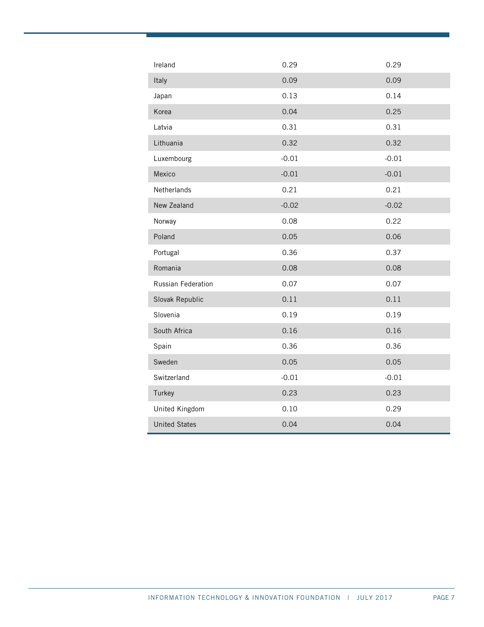| Ireland              | 0.29    | 0.29    |
|----------------------|---------|---------|
| Italy                | 0.09    | 0.09    |
| Japan                | 0.13    | 0.14    |
| Korea                | 0.04    | 0.25    |
| Latvia               | 0.31    | 0.31    |
| Lithuania            | 0.32    | 0.32    |
| Luxembourg           | $-0.01$ | $-0.01$ |
| Mexico               | $-0.01$ | $-0.01$ |
| Netherlands          | 0.21    | 0.21    |
| New Zealand          | $-0.02$ | $-0.02$ |
| Norway               | 0.08    | 0.22    |
| Poland               | 0.05    | 0.06    |
| Portugal             | 0.36    | 0.37    |
| Romania              | 0.08    | 0.08    |
| Russian Federation   | 0.07    | 0.07    |
| Slovak Republic      | 0.11    | 0.11    |
| Slovenia             | 0.19    | 0.19    |
| South Africa         | 0.16    | 0.16    |
| Spain                | 0.36    | 0.36    |
| Sweden               | 0.05    | 0.05    |
| Switzerland          | $-0.01$ | $-0.01$ |
| Turkey               | 0.23    | 0.23    |
| United Kingdom       | 0.10    | 0.29    |
| <b>United States</b> | 0.04    | 0.04    |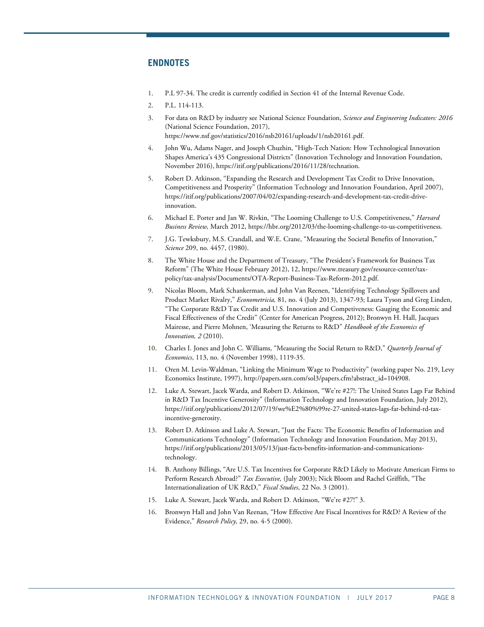## **ENDNOTES**

- <span id="page-7-0"></span>1. P.L 97-34. The credit is currently codified in Section 41 of the Internal Revenue Code.
- 2. P.L. 114-113.
- <span id="page-7-2"></span><span id="page-7-1"></span>3. For data on R&D by industry see National Science Foundation, *Science and Engineering Indicators: 2016*  (National Science Foundation, 2017), [https://www.nsf.gov/statistics/2016/nsb20161/uploads/1/nsb20161.pdf.](https://www.nsf.gov/statistics/2016/nsb20161/uploads/1/nsb20161.pdf)
- <span id="page-7-3"></span>4. John Wu, Adams Nager, and Joseph Chuzhin, "High-Tech Nation: How Technological Innovation Shapes America's 435 Congressional Districts" (Innovation Technology and Innovation Foundation, November 2016)[, https://itif.org/publications/2016/11/28/technation.](https://itif.org/publications/2016/11/28/technation)
- <span id="page-7-4"></span>5. Robert D. Atkinson, "Expanding the Research and Development Tax Credit to Drive Innovation, Competitiveness and Prosperity" (Information Technology and Innovation Foundation, April 2007), [https://itif.org/publications/2007/04/02/expanding-research-and-development-tax-credit-drive](https://itif.org/publications/2007/04/02/expanding-research-and-development-tax-credit-drive-innovation)[innovation.](https://itif.org/publications/2007/04/02/expanding-research-and-development-tax-credit-drive-innovation)
- <span id="page-7-5"></span>6. Michael E. Porter and Jan W. Rivkin, "The Looming Challenge to U.S. Competitiveness," *Harvard Business Review,* March 2012, [https://hbr.org/2012/03/the-looming-challenge-to-us-competitiveness.](https://hbr.org/2012/03/the-looming-challenge-to-us-competitiveness)
- <span id="page-7-6"></span>7. J.G. Tewksbury, M.S. Crandall, and W.E. Crane, "Measuring the Societal Benefits of Innovation," *Science* 209, no. 4457, (1980).
- <span id="page-7-7"></span>8. The White House and the Department of Treasury, "The President's Framework for Business Tax Reform" (The White House February 2012), 12[, https://www.treasury.gov/resource-center/tax](https://www.treasury.gov/resource-center/tax-policy/tax-analysis/Documents/OTA-Report-Business-Tax-Reform-2012.pdf)[policy/tax-analysis/Documents/OTA-Report-Business-Tax-Reform-2012.pdf.](https://www.treasury.gov/resource-center/tax-policy/tax-analysis/Documents/OTA-Report-Business-Tax-Reform-2012.pdf)
- <span id="page-7-8"></span>9. Nicolas Bloom, Mark Schankerman, and John Van Reenen, "Identifying Technology Spillovers and Product Market Rivalry," *Econometricia,* 81, no. 4 (July 2013), 1347-93; Laura Tyson and Greg Linden, "The Corporate R&D Tax Credit and U.S. Innovation and Competiveness: Gauging the Economic and Fiscal Effectiveness of the Credit" (Center for American Progress, 2012); Bronwyn H. Hall, Jacques Mairesse, and Pierre Mohnen, 'Measuring the Returns to R&D" *Handbook of the Economics of Innovation, 2* (2010).
- <span id="page-7-9"></span>10. Charles I. Jones and John C. Williams, "Measuring the Social Return to R&D," *Quarterly Journal of Economics*, 113, no. 4 (November 1998), 1119-35.
- <span id="page-7-10"></span>11. Oren M. Levin-Waldman, "Linking the Minimum Wage to Productivity" (working paper No. 219, Levy Economics Institute, 1997)[, http://papers.ssrn.com/sol3/papers.cfm?abstract\\_id=104908.](http://papers.ssrn.com/sol3/papers.cfm?abstract_id=104908)
- <span id="page-7-11"></span>12. Luke A. Stewart, Jacek Warda, and Robert D. Atkinson, "We're #27!: The United States Lags Far Behind in R&D Tax Incentive Generosity" (Information Technology and Innovation Foundation, July 2012), [https://itif.org/publications/2012/07/19/we%E2%80%99re-27-united-states-lags-far-behind-rd-tax](https://itif.org/publications/2012/07/19/we%E2%80%99re-27-united-states-lags-far-behind-rd-tax-incentive-generosity)[incentive-generosity.](https://itif.org/publications/2012/07/19/we%E2%80%99re-27-united-states-lags-far-behind-rd-tax-incentive-generosity)
- <span id="page-7-12"></span>13. Robert D. Atkinson and Luke A. Stewart, "Just the Facts: The Economic Benefits of Information and Communications Technology" (Information Technology and Innovation Foundation, May 2013), [https://itif.org/publications/2013/05/13/just-facts-benefits-information-and-communications](https://itif.org/publications/2013/05/13/just-facts-benefits-information-and-communications-technology)[technology.](https://itif.org/publications/2013/05/13/just-facts-benefits-information-and-communications-technology)
- <span id="page-7-13"></span>14. B. Anthony Billings, "Are U.S. Tax Incentives for Corporate R&D Likely to Motivate American Firms to Perform Research Abroad?" *Tax Executive,* (July 2003); Nick Bloom and Rachel Griffith, "The Internationalization of UK R&D," *Fiscal Studies*, 22 No. 3 (2001).
- <span id="page-7-15"></span><span id="page-7-14"></span>15. Luke A. Stewart, Jacek Warda, and Robert D. Atkinson, "We're #27!" 3.
- 16. Bronwyn Hall and John Van Reenan, "How Effective Are Fiscal Incentives for R&D? A Review of the Evidence," *Research Policy,* 29, no. 4-5 (2000).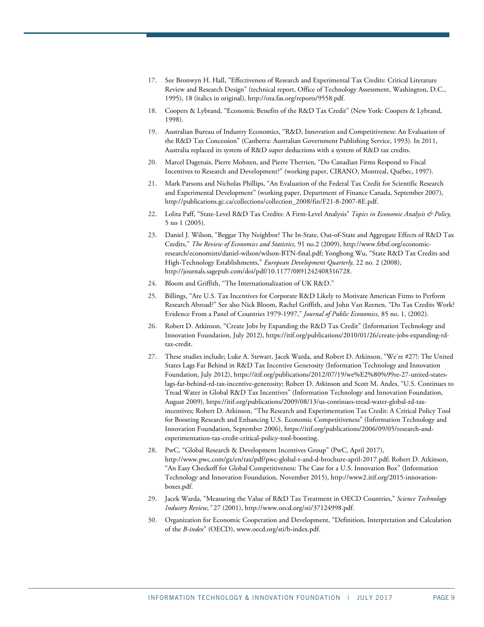- <span id="page-8-0"></span>17. See Bronwyn H. Hall, "Effectiveness of Research and Experimental Tax Credits: Critical Literature Review and Research Design" (technical report, Office of Technology Assessment, Washington, D.C., 1995), 18 (italics in original)[, http://ota.fas.org/reports/9558.pdf.](http://ota.fas.org/reports/9558.pdf)
- <span id="page-8-1"></span>18. Coopers & Lybrand, "Economic Benefits of the R&D Tax Credit" (New York: Coopers & Lybrand, 1998).
- <span id="page-8-2"></span>19. Australian Bureau of Industry Economics, "R&D, Innovation and Competitiveness: An Evaluation of the R&D Tax Concession" (Canberra: Australian Government Publishing Service, 1993). In 2011, Australia replaced its system of R&D super deductions with a system of R&D tax credits.
- <span id="page-8-3"></span>20. Marcel Dagenais, Pierre Mohnen, and Pierre Therrien, "Do Canadian Firms Respond to Fiscal Incentives to Research and Development?" (working paper, CIRANO, Montreal, Québec, 1997).
- <span id="page-8-4"></span>21. Mark Parsons and Nicholas Phillips, "An Evaluation of the Federal Tax Credit for Scientific Research and Experimental Development" (working paper, Department of Finance Canada, September 2007), [http://publications.gc.ca/collections/collection\\_2008/fin/F21-8-2007-8E.pdf.](http://publications.gc.ca/collections/collection_2008/fin/F21-8-2007-8E.pdf)
- <span id="page-8-5"></span>22. Lolita Paff, "State-Level R&D Tax Credits: A Firm-Level Analysis" *Topics in Economic Analysis & Policy,*  5 no 1 (2005).
- <span id="page-8-6"></span>23. Daniel J. Wilson, "Beggar Thy Neighbor? The In-State, Out-of-State and Aggregate Effects of R&D Tax Credits," *The Review of Economics and Statistics,* 91 no.2 (2009)[, http://www.frbsf.org/economic](http://www.frbsf.org/economic-research/economists/daniel-wilson/wilson-BTN-final.pdf)[research/economists/daniel-wilson/wilson-BTN-final.pdf;](http://www.frbsf.org/economic-research/economists/daniel-wilson/wilson-BTN-final.pdf) Yonghong Wu, "State R&D Tax Credits and High-Technology Establishments," *European Development Quarterly,* 22 no. 2 (2008), [http://journals.sagepub.com/doi/pdf/10.1177/0891242408316728.](http://journals.sagepub.com/doi/pdf/10.1177/0891242408316728)
- <span id="page-8-7"></span>24. Bloom and Griffith, "The Internationalization of UK R&D."
- <span id="page-8-8"></span>25. Billings, "Are U.S. Tax Incentives for Corporate R&D Likely to Motivate American Firms to Perform Research Abroad?" See also Nick Bloom, Rachel Griffith, and John Van Reenen, "Do Tax Credits Work? Evidence From a Panel of Countries 1979-1997," *Journal of Public Economics,* 85 no. 1, (2002).
- <span id="page-8-9"></span>26. Robert D. Atkinson, "Create Jobs by Expanding the R&D Tax Credit" (Information Technology and Innovation Foundation, July 2012)[, https://itif.org/publications/2010/01/26/create-jobs-expanding-rd](https://itif.org/publications/2010/01/26/create-jobs-expanding-rd-tax-credit)[tax-credit.](https://itif.org/publications/2010/01/26/create-jobs-expanding-rd-tax-credit)
- <span id="page-8-10"></span>27. These studies include; Luke A. Stewart, Jacek Warda, and Robert D. Atkinson, "We're #27!: The United States Lags Far Behind in R&D Tax Incentive Generosity (Information Technology and Innovation Foundation, July 2012)[, https://itif.org/publications/2012/07/19/we%E2%80%99re-27-united-states](https://itif.org/publications/2012/07/19/we%E2%80%99re-27-united-states-lags-far-behind-rd-tax-incentive-generosity)[lags-far-behind-rd-tax-incentive-generosity;](https://itif.org/publications/2012/07/19/we%E2%80%99re-27-united-states-lags-far-behind-rd-tax-incentive-generosity) Robert D. Atkinson and Scott M. Andes, "U.S. Continues to Tread Water in Global R&D Tax Incentives" (Information Technology and Innovation Foundation, August 2009), [https://itif.org/publications/2009/08/13/us-continues-tread-water-global-rd-tax](https://itif.org/publications/2009/08/13/us-continues-tread-water-global-rd-tax-incentives)[incentives;](https://itif.org/publications/2009/08/13/us-continues-tread-water-global-rd-tax-incentives) Robert D. Atkinson, "The Research and Experimentation Tax Credit: A Critical Policy Tool for Boosting Research and Enhancing U.S. Economic Competitiveness" (Information Technology and Innovation Foundation, September 2006)[, https://itif.org/publications/2006/09/05/research-and](https://itif.org/publications/2006/09/05/research-and-experimentation-tax-credit-critical-policy-tool-boosting)[experimentation-tax-credit-critical-policy-tool-boosting.](https://itif.org/publications/2006/09/05/research-and-experimentation-tax-credit-critical-policy-tool-boosting)
- <span id="page-8-11"></span>28. PwC, "Global Research & Development Incentives Group" (PwC, April 2017), [http://www.pwc.com/gx/en/tax/pdf/pwc-global-r-and-d-brochure-april-2017.pdf;](http://www.pwc.com/gx/en/tax/pdf/pwc-global-r-and-d-brochure-april-2017.pdf) Robert D. Atkinson, "An Easy Checkoff for Global Competitiveness: The Case for a U.S. Innovation Box" (Information Technology and Innovation Foundation, November 2015)[, http://www2.itif.org/2015-innovation](http://www2.itif.org/2015-innovation-boxes.pdf)[boxes.pdf.](http://www2.itif.org/2015-innovation-boxes.pdf)
- <span id="page-8-12"></span>29. Jacek Warda, "Measuring the Value of R&D Tax Treatment in OECD Countries," *Science Technology Industry Review,"* 27 (2001)[, http://www.oecd.org/sti/37124998.pdf.](http://www.oecd.org/sti/37124998.pdf)
- <span id="page-8-13"></span>30. Organization for Economic Cooperation and Development, "Definition, Interpretation and Calculation of the *B-index*" (OECD), www.oecd.org/sti/b-index.pdf.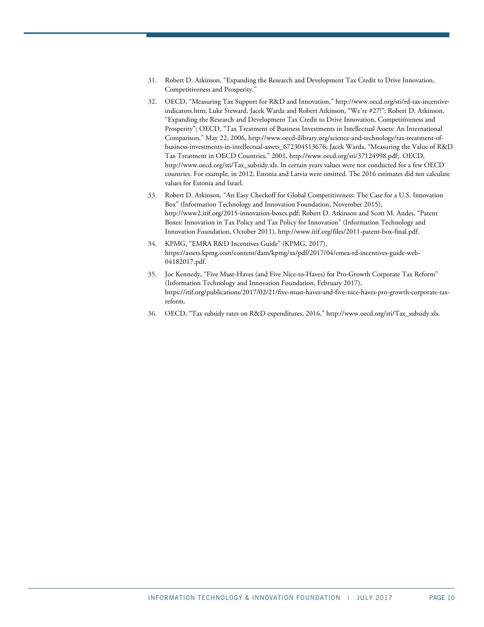- <span id="page-9-0"></span>31. Robert D. Atkinson, "Expanding the Research and Development Tax Credit to Drive Innovation, Competitiveness and Prosperity."
- <span id="page-9-1"></span>32. OECD, "Measuring Tax Support for R&D and Innovation," [http://www.oecd.org/sti/rd-tax-incentive](http://www.oecd.org/sti/rd-tax-incentive-indicators.htm)[indicators.htm;](http://www.oecd.org/sti/rd-tax-incentive-indicators.htm) Luke Steward, Jacek Warda and Robert Atkinson, "We're #27!"; Robert D. Atkinson, "Expanding the Research and Development Tax Credit to Drive Innovation, Competitiveness and Prosperity"; OECD, "Tax Treatment of Business Investments in Intellectual Assets: An International Comparison," May 22, 2006, http://www.oecd-ilibrary.org/science-and-technology/tax-treatment-ofbusiness-investments-in-intellectual-assets\_672304513676; Jacek Warda, "Measuring the Value of R&D Tax Treatment in OECD Countries," 2001, [http://www.oecd.org/sti/37124998.pdf;.](http://www.oecd.org/sti/37124998.pdf;%20OECD,%20http:/www.oecd.org/sti/Tax_subsidy.xls) OECD, [http://www.oecd.org/sti/Tax\\_subsidy.xls.](http://www.oecd.org/sti/37124998.pdf;%20OECD,%20http:/www.oecd.org/sti/Tax_subsidy.xls) In certain years values were not conducted for a few OECD countries. For example, in 2012, Estonia and Latvia were omitted. The 2016 estimates did not calculate values for Estonia and Israel.
- <span id="page-9-2"></span>33. Robert D. Atkinson, "An Easy Checkoff for Global Competitiveness: The Case for a U.S. Innovation Box" (Information Technology and Innovation Foundation, November 2015), [http://www2.itif.org/2015-innovation-boxes.pdf;](http://www2.itif.org/2015-innovation-boxes.pdf) Robert D. Atkinson and Scott M. Andes, "Patent Boxes: Innovation in Tax Policy and Tax Policy for Innovation" (Information Technology and Innovation Foundation, October 2011)[, http://www.itif.org/files/2011-patent-box-final.pdf.](http://www.itif.org/files/2011-patent-box-final.pdf)
- <span id="page-9-3"></span>34. KPMG, "EMRA R&D Incentives Guide" (KPMG, 2017), [https://assets.kpmg.com/content/dam/kpmg/xx/pdf/2017/04/emea-rd-incentives-guide-web-](https://assets.kpmg.com/content/dam/kpmg/xx/pdf/2017/04/emea-rd-incentives-guide-web-04182017.pdf)[04182017.pdf.](https://assets.kpmg.com/content/dam/kpmg/xx/pdf/2017/04/emea-rd-incentives-guide-web-04182017.pdf)
- <span id="page-9-4"></span>35. Joe Kennedy, "Five Must-Haves (and Five Nice-to-Haves) for Pro-Growth Corporate Tax Reform" (Information Technology and Innovation Foundation, February 2017), [https://itif.org/publications/2017/02/21/five-must-haves-and-five-nice-haves-pro-growth-corporate-tax](https://itif.org/publications/2017/02/21/five-must-haves-and-five-nice-haves-pro-growth-corporate-tax-reform)[reform.](https://itif.org/publications/2017/02/21/five-must-haves-and-five-nice-haves-pro-growth-corporate-tax-reform)
- <span id="page-9-5"></span>36. OECD, "Tax subsidy rates on R&D expenditures, 2016," [http://www.oecd.org/sti/Tax\\_subsidy.xls.](http://www.oecd.org/sti/Tax_subsidy.xls)